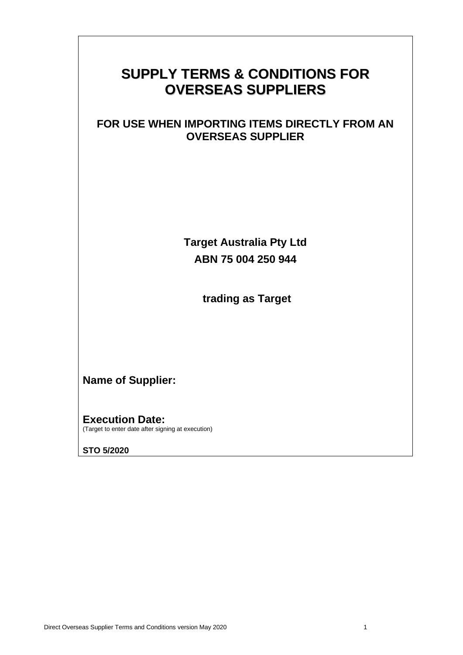# **SUPPLY TERMS & CONDITIONS FOR OVERSEAS SUPPLIERS**

## **FOR USE WHEN IMPORTING ITEMS DIRECTLY FROM AN OVERSEAS SUPPLIER**

**Target Australia Pty Ltd ABN 75 004 250 944**

**trading as Target**

# **Name of Supplier:**

**Execution Date:**  (Target to enter date after signing at execution)

**STO 5/2020**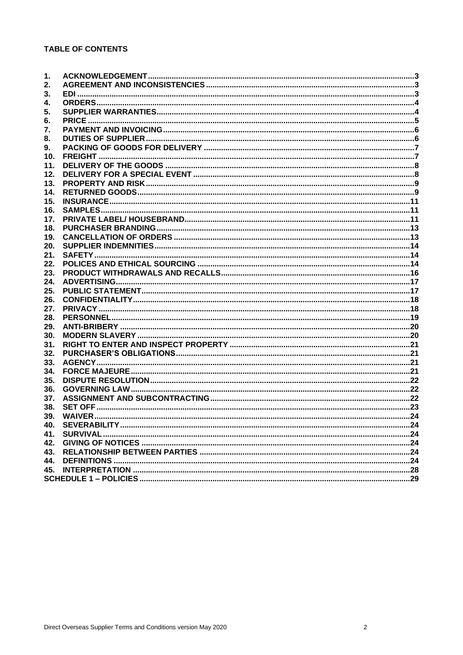### **TABLE OF CONTENTS**

| 2.<br>3.<br>4.<br>5.<br>6.<br>7.<br>8.<br>9.<br>10.<br>11.<br>12.<br>13.<br>14.<br>15.<br>16.<br>17.<br>18.<br>19.<br>20.<br>21.<br>22.<br>23.<br>24.<br>25.<br>26.<br>27.<br>28.<br>29.<br>30.<br>31.<br>32.<br>33.<br>34.<br>35.<br>36.<br>37.<br>38.<br>39.<br>40.<br>41.<br>43.<br>44.<br>45. | 1. |  |
|---------------------------------------------------------------------------------------------------------------------------------------------------------------------------------------------------------------------------------------------------------------------------------------------------|----|--|
|                                                                                                                                                                                                                                                                                                   |    |  |
|                                                                                                                                                                                                                                                                                                   |    |  |
|                                                                                                                                                                                                                                                                                                   |    |  |
|                                                                                                                                                                                                                                                                                                   |    |  |
|                                                                                                                                                                                                                                                                                                   |    |  |
|                                                                                                                                                                                                                                                                                                   |    |  |
|                                                                                                                                                                                                                                                                                                   |    |  |
|                                                                                                                                                                                                                                                                                                   |    |  |
|                                                                                                                                                                                                                                                                                                   |    |  |
|                                                                                                                                                                                                                                                                                                   |    |  |
|                                                                                                                                                                                                                                                                                                   |    |  |
|                                                                                                                                                                                                                                                                                                   |    |  |
|                                                                                                                                                                                                                                                                                                   |    |  |
|                                                                                                                                                                                                                                                                                                   |    |  |
|                                                                                                                                                                                                                                                                                                   |    |  |
|                                                                                                                                                                                                                                                                                                   |    |  |
|                                                                                                                                                                                                                                                                                                   |    |  |
|                                                                                                                                                                                                                                                                                                   |    |  |
|                                                                                                                                                                                                                                                                                                   |    |  |
|                                                                                                                                                                                                                                                                                                   |    |  |
|                                                                                                                                                                                                                                                                                                   |    |  |
|                                                                                                                                                                                                                                                                                                   |    |  |
|                                                                                                                                                                                                                                                                                                   |    |  |
|                                                                                                                                                                                                                                                                                                   |    |  |
|                                                                                                                                                                                                                                                                                                   |    |  |
|                                                                                                                                                                                                                                                                                                   |    |  |
|                                                                                                                                                                                                                                                                                                   |    |  |
|                                                                                                                                                                                                                                                                                                   |    |  |
|                                                                                                                                                                                                                                                                                                   |    |  |
|                                                                                                                                                                                                                                                                                                   |    |  |
|                                                                                                                                                                                                                                                                                                   |    |  |
|                                                                                                                                                                                                                                                                                                   |    |  |
|                                                                                                                                                                                                                                                                                                   |    |  |
|                                                                                                                                                                                                                                                                                                   |    |  |
|                                                                                                                                                                                                                                                                                                   |    |  |
|                                                                                                                                                                                                                                                                                                   |    |  |
|                                                                                                                                                                                                                                                                                                   |    |  |
|                                                                                                                                                                                                                                                                                                   |    |  |
|                                                                                                                                                                                                                                                                                                   |    |  |
|                                                                                                                                                                                                                                                                                                   |    |  |
|                                                                                                                                                                                                                                                                                                   |    |  |
|                                                                                                                                                                                                                                                                                                   |    |  |
|                                                                                                                                                                                                                                                                                                   |    |  |
|                                                                                                                                                                                                                                                                                                   |    |  |
|                                                                                                                                                                                                                                                                                                   |    |  |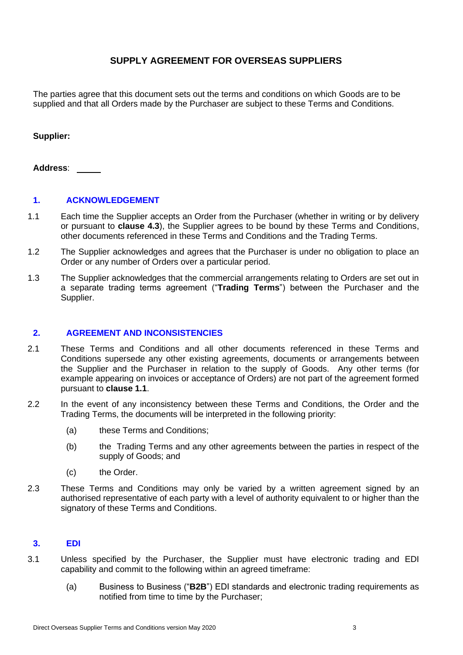### **SUPPLY AGREEMENT FOR OVERSEAS SUPPLIERS**

The parties agree that this document sets out the terms and conditions on which Goods are to be supplied and that all Orders made by the Purchaser are subject to these Terms and Conditions.

### **Supplier:**

### **Address**:

### **1. ACKNOWLEDGEMENT**

- <span id="page-2-0"></span>1.1 Each time the Supplier accepts an Order from the Purchaser (whether in writing or by delivery or pursuant to **clause [4.3](#page-3-0)**), the Supplier agrees to be bound by these Terms and Conditions, other documents referenced in these Terms and Conditions and the Trading Terms.
- 1.2 The Supplier acknowledges and agrees that the Purchaser is under no obligation to place an Order or any number of Orders over a particular period.
- 1.3 The Supplier acknowledges that the commercial arrangements relating to Orders are set out in a separate trading terms agreement ("**Trading Terms**") between the Purchaser and the Supplier.

#### **2. AGREEMENT AND INCONSISTENCIES**

- 2.1 These Terms and Conditions and all other documents referenced in these Terms and Conditions supersede any other existing agreements, documents or arrangements between the Supplier and the Purchaser in relation to the supply of Goods. Any other terms (for example appearing on invoices or acceptance of Orders) are not part of the agreement formed pursuant to **clause [1.1](#page-2-0)**.
- 2.2 In the event of any inconsistency between these Terms and Conditions, the Order and the Trading Terms, the documents will be interpreted in the following priority:
	- (a) these Terms and Conditions;
	- (b) the Trading Terms and any other agreements between the parties in respect of the supply of Goods; and
	- (c) the Order.
- 2.3 These Terms and Conditions may only be varied by a written agreement signed by an authorised representative of each party with a level of authority equivalent to or higher than the signatory of these Terms and Conditions.

### **3. EDI**

- 3.1 Unless specified by the Purchaser, the Supplier must have electronic trading and EDI capability and commit to the following within an agreed timeframe:
	- (a) Business to Business ("**B2B**") EDI standards and electronic trading requirements as notified from time to time by the Purchaser;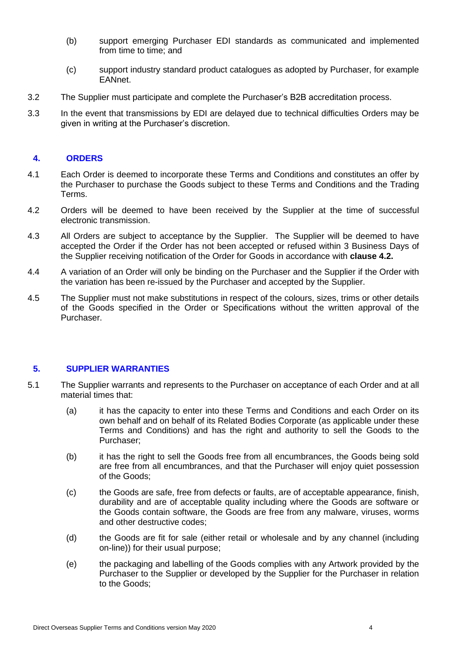- (b) support emerging Purchaser EDI standards as communicated and implemented from time to time; and
- (c) support industry standard product catalogues as adopted by Purchaser, for example EANnet.
- 3.2 The Supplier must participate and complete the Purchaser's B2B accreditation process.
- 3.3 In the event that transmissions by EDI are delayed due to technical difficulties Orders may be given in writing at the Purchaser's discretion.

### **4. ORDERS**

- 4.1 Each Order is deemed to incorporate these Terms and Conditions and constitutes an offer by the Purchaser to purchase the Goods subject to these Terms and Conditions and the Trading Terms.
- <span id="page-3-1"></span>4.2 Orders will be deemed to have been received by the Supplier at the time of successful electronic transmission.
- <span id="page-3-0"></span>4.3 All Orders are subject to acceptance by the Supplier. The Supplier will be deemed to have accepted the Order if the Order has not been accepted or refused within 3 Business Days of the Supplier receiving notification of the Order for Goods in accordance with **clause [4.2.](#page-3-1)**
- 4.4 A variation of an Order will only be binding on the Purchaser and the Supplier if the Order with the variation has been re-issued by the Purchaser and accepted by the Supplier.
- 4.5 The Supplier must not make substitutions in respect of the colours, sizes, trims or other details of the Goods specified in the Order or Specifications without the written approval of the Purchaser.

### **5. SUPPLIER WARRANTIES**

- 5.1 The Supplier warrants and represents to the Purchaser on acceptance of each Order and at all material times that:
	- (a) it has the capacity to enter into these Terms and Conditions and each Order on its own behalf and on behalf of its Related Bodies Corporate (as applicable under these Terms and Conditions) and has the right and authority to sell the Goods to the Purchaser;
	- (b) it has the right to sell the Goods free from all encumbrances, the Goods being sold are free from all encumbrances, and that the Purchaser will enjoy quiet possession of the Goods;
	- (c) the Goods are safe, free from defects or faults, are of acceptable appearance, finish, durability and are of acceptable quality including where the Goods are software or the Goods contain software, the Goods are free from any malware, viruses, worms and other destructive codes;
	- (d) the Goods are fit for sale (either retail or wholesale and by any channel (including on-line)) for their usual purpose;
	- (e) the packaging and labelling of the Goods complies with any Artwork provided by the Purchaser to the Supplier or developed by the Supplier for the Purchaser in relation to the Goods;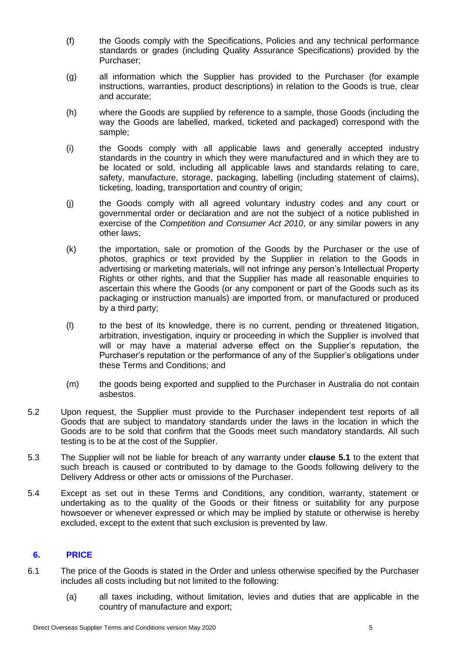- (f) the Goods comply with the Specifications, Policies and any technical performance standards or grades (including Quality Assurance Specifications) provided by the Purchaser;
- (g) all information which the Supplier has provided to the Purchaser (for example instructions, warranties, product descriptions) in relation to the Goods is true, clear and accurate;
- (h) where the Goods are supplied by reference to a sample, those Goods (including the way the Goods are labelled, marked, ticketed and packaged) correspond with the sample;
- (i) the Goods comply with all applicable laws and generally accepted industry standards in the country in which they were manufactured and in which they are to be located or sold, including all applicable laws and standards relating to care, safety, manufacture, storage, packaging, labelling (including statement of claims), ticketing, loading, transportation and country of origin;
- (j) the Goods comply with all agreed voluntary industry codes and any court or governmental order or declaration and are not the subject of a notice published in exercise of the *Competition and Consumer Act 2010*, or any similar powers in any other laws;
- (k) the importation, sale or promotion of the Goods by the Purchaser or the use of photos, graphics or text provided by the Supplier in relation to the Goods in advertising or marketing materials, will not infringe any person's Intellectual Property Rights or other rights, and that the Supplier has made all reasonable enquiries to ascertain this where the Goods (or any component or part of the Goods such as its packaging or instruction manuals) are imported from, or manufactured or produced by a third party;
- (l) to the best of its knowledge, there is no current, pending or threatened litigation, arbitration, investigation, inquiry or proceeding in which the Supplier is involved that will or may have a material adverse effect on the Supplier's reputation, the Purchaser's reputation or the performance of any of the Supplier's obligations under these Terms and Conditions; and
- (m) the goods being exported and supplied to the Purchaser in Australia do not contain asbestos.
- 5.2 Upon request, the Supplier must provide to the Purchaser independent test reports of all Goods that are subject to mandatory standards under the laws in the location in which the Goods are to be sold that confirm that the Goods meet such mandatory standards. All such testing is to be at the cost of the Supplier.
- 5.3 The Supplier will not be liable for breach of any warranty under **clause 5.1** to the extent that such breach is caused or contributed to by damage to the Goods following delivery to the Delivery Address or other acts or omissions of the Purchaser.
- 5.4 Except as set out in these Terms and Conditions, any condition, warranty, statement or undertaking as to the quality of the Goods or their fitness or suitability for any purpose howsoever or whenever expressed or which may be implied by statute or otherwise is hereby excluded, except to the extent that such exclusion is prevented by law.

### **6. PRICE**

- 6.1 The price of the Goods is stated in the Order and unless otherwise specified by the Purchaser includes all costs including but not limited to the following:
	- (a) all taxes including, without limitation, levies and duties that are applicable in the country of manufacture and export;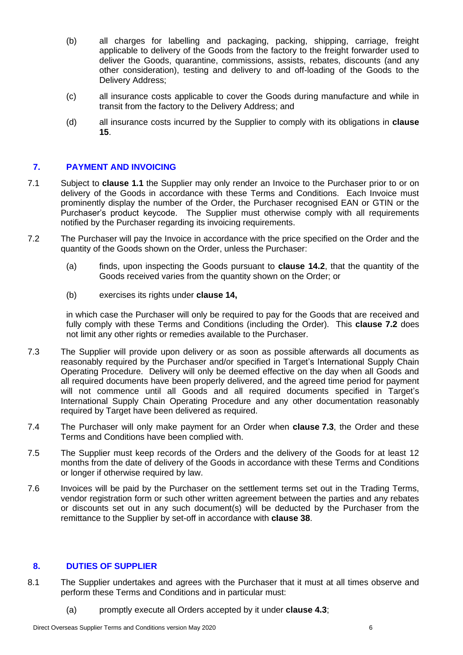- (b) all charges for labelling and packaging, packing, shipping, carriage, freight applicable to delivery of the Goods from the factory to the freight forwarder used to deliver the Goods, quarantine, commissions, assists, rebates, discounts (and any other consideration), testing and delivery to and off-loading of the Goods to the Delivery Address;
- (c) all insurance costs applicable to cover the Goods during manufacture and while in transit from the factory to the Delivery Address; and
- (d) all insurance costs incurred by the Supplier to comply with its obligations in **clause [15](#page-10-0)**.

### **7. PAYMENT AND INVOICING**

- 7.1 Subject to **clause [1.1](#page-2-0)** the Supplier may only render an Invoice to the Purchaser prior to or on delivery of the Goods in accordance with these Terms and Conditions. Each Invoice must prominently display the number of the Order, the Purchaser recognised EAN or GTIN or the Purchaser's product keycode. The Supplier must otherwise comply with all requirements notified by the Purchaser regarding its invoicing requirements.
- 7.2 The Purchaser will pay the Invoice in accordance with the price specified on the Order and the quantity of the Goods shown on the Order, unless the Purchaser:
	- (a) finds, upon inspecting the Goods pursuant to **clause [14.2](#page-9-0)**, that the quantity of the Goods received varies from the quantity shown on the Order; or
	- (b) exercises its rights under **clause 14,**

in which case the Purchaser will only be required to pay for the Goods that are received and fully comply with these Terms and Conditions (including the Order). This **clause 7.2** does not limit any other rights or remedies available to the Purchaser.

- 7.3 The Supplier will provide upon delivery or as soon as possible afterwards all documents as reasonably required by the Purchaser and/or specified in Target's International Supply Chain Operating Procedure. Delivery will only be deemed effective on the day when all Goods and all required documents have been properly delivered, and the agreed time period for payment will not commence until all Goods and all required documents specified in Target's International Supply Chain Operating Procedure and any other documentation reasonably required by Target have been delivered as required.
- 7.4 The Purchaser will only make payment for an Order when **clause 7.3**, the Order and these Terms and Conditions have been complied with.
- 7.5 The Supplier must keep records of the Orders and the delivery of the Goods for at least 12 months from the date of delivery of the Goods in accordance with these Terms and Conditions or longer if otherwise required by law.
- 7.6 Invoices will be paid by the Purchaser on the settlement terms set out in the Trading Terms, vendor registration form or such other written agreement between the parties and any rebates or discounts set out in any such document(s) will be deducted by the Purchaser from the remittance to the Supplier by set-off in accordance with **clause [38](#page-22-0)**.

### **8. DUTIES OF SUPPLIER**

- 8.1 The Supplier undertakes and agrees with the Purchaser that it must at all times observe and perform these Terms and Conditions and in particular must:
	- (a) promptly execute all Orders accepted by it under **clause [4.3](#page-3-0)**;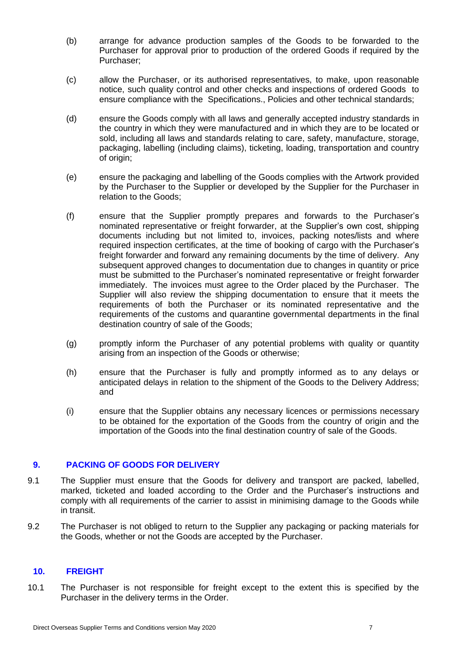- (b) arrange for advance production samples of the Goods to be forwarded to the Purchaser for approval prior to production of the ordered Goods if required by the Purchaser;
- (c) allow the Purchaser, or its authorised representatives, to make, upon reasonable notice, such quality control and other checks and inspections of ordered Goods to ensure compliance with the Specifications., Policies and other technical standards;
- (d) ensure the Goods comply with all laws and generally accepted industry standards in the country in which they were manufactured and in which they are to be located or sold, including all laws and standards relating to care, safety, manufacture, storage, packaging, labelling (including claims), ticketing, loading, transportation and country of origin;
- (e) ensure the packaging and labelling of the Goods complies with the Artwork provided by the Purchaser to the Supplier or developed by the Supplier for the Purchaser in relation to the Goods;
- (f) ensure that the Supplier promptly prepares and forwards to the Purchaser's nominated representative or freight forwarder, at the Supplier's own cost, shipping documents including but not limited to, invoices, packing notes/lists and where required inspection certificates, at the time of booking of cargo with the Purchaser's freight forwarder and forward any remaining documents by the time of delivery. Any subsequent approved changes to documentation due to changes in quantity or price must be submitted to the Purchaser's nominated representative or freight forwarder immediately. The invoices must agree to the Order placed by the Purchaser. The Supplier will also review the shipping documentation to ensure that it meets the requirements of both the Purchaser or its nominated representative and the requirements of the customs and quarantine governmental departments in the final destination country of sale of the Goods;
- (g) promptly inform the Purchaser of any potential problems with quality or quantity arising from an inspection of the Goods or otherwise;
- (h) ensure that the Purchaser is fully and promptly informed as to any delays or anticipated delays in relation to the shipment of the Goods to the Delivery Address; and
- (i) ensure that the Supplier obtains any necessary licences or permissions necessary to be obtained for the exportation of the Goods from the country of origin and the importation of the Goods into the final destination country of sale of the Goods.

### **9. PACKING OF GOODS FOR DELIVERY**

- 9.1 The Supplier must ensure that the Goods for delivery and transport are packed, labelled, marked, ticketed and loaded according to the Order and the Purchaser's instructions and comply with all requirements of the carrier to assist in minimising damage to the Goods while in transit.
- 9.2 The Purchaser is not obliged to return to the Supplier any packaging or packing materials for the Goods, whether or not the Goods are accepted by the Purchaser.

### **10. FREIGHT**

10.1 The Purchaser is not responsible for freight except to the extent this is specified by the Purchaser in the delivery terms in the Order.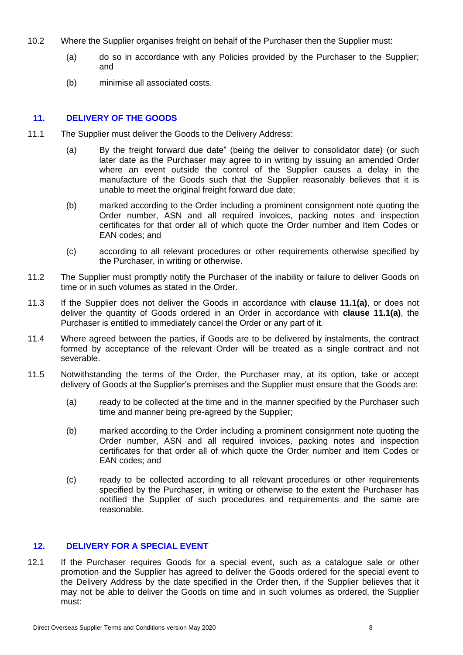- 10.2 Where the Supplier organises freight on behalf of the Purchaser then the Supplier must:
	- (a) do so in accordance with any Policies provided by the Purchaser to the Supplier; and
	- (b) minimise all associated costs.

### **11. DELIVERY OF THE GOODS**

- <span id="page-7-0"></span>11.1 The Supplier must deliver the Goods to the Delivery Address:
	- (a) By the freight forward due date" (being the deliver to consolidator date) (or such later date as the Purchaser may agree to in writing by issuing an amended Order where an event outside the control of the Supplier causes a delay in the manufacture of the Goods such that the Supplier reasonably believes that it is unable to meet the original freight forward due date;
	- (b) marked according to the Order including a prominent consignment note quoting the Order number, ASN and all required invoices, packing notes and inspection certificates for that order all of which quote the Order number and Item Codes or EAN codes; and
	- (c) according to all relevant procedures or other requirements otherwise specified by the Purchaser, in writing or otherwise.
- 11.2 The Supplier must promptly notify the Purchaser of the inability or failure to deliver Goods on time or in such volumes as stated in the Order.
- <span id="page-7-2"></span>11.3 If the Supplier does not deliver the Goods in accordance with **clause [11.1\(a\)](#page-7-0)**, or does not deliver the quantity of Goods ordered in an Order in accordance with **clause [11.1\(a\)](#page-7-0)**, the Purchaser is entitled to immediately cancel the Order or any part of it.
- 11.4 Where agreed between the parties, if Goods are to be delivered by instalments, the contract formed by acceptance of the relevant Order will be treated as a single contract and not severable.
- <span id="page-7-1"></span>11.5 Notwithstanding the terms of the Order, the Purchaser may, at its option, take or accept delivery of Goods at the Supplier's premises and the Supplier must ensure that the Goods are:
	- (a) ready to be collected at the time and in the manner specified by the Purchaser such time and manner being pre-agreed by the Supplier;
	- (b) marked according to the Order including a prominent consignment note quoting the Order number, ASN and all required invoices, packing notes and inspection certificates for that order all of which quote the Order number and Item Codes or EAN codes; and
	- (c) ready to be collected according to all relevant procedures or other requirements specified by the Purchaser, in writing or otherwise to the extent the Purchaser has notified the Supplier of such procedures and requirements and the same are reasonable.

### **12. DELIVERY FOR A SPECIAL EVENT**

<span id="page-7-3"></span>12.1 If the Purchaser requires Goods for a special event, such as a catalogue sale or other promotion and the Supplier has agreed to deliver the Goods ordered for the special event to the Delivery Address by the date specified in the Order then, if the Supplier believes that it may not be able to deliver the Goods on time and in such volumes as ordered, the Supplier must: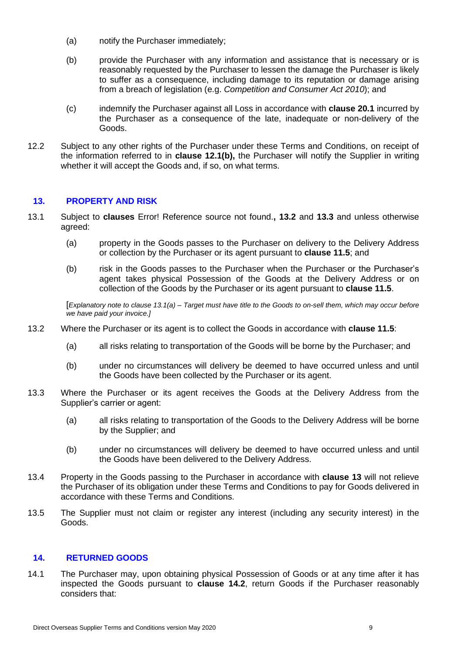- (a) notify the Purchaser immediately;
- <span id="page-8-0"></span>(b) provide the Purchaser with any information and assistance that is necessary or is reasonably requested by the Purchaser to lessen the damage the Purchaser is likely to suffer as a consequence, including damage to its reputation or damage arising from a breach of legislation (e.g. *Competition and Consumer Act 2010*); and
- <span id="page-8-5"></span>(c) indemnify the Purchaser against all Loss in accordance with **clause [20.1](#page-13-0)** incurred by the Purchaser as a consequence of the late, inadequate or non-delivery of the Goods.
- 12.2 Subject to any other rights of the Purchaser under these Terms and Conditions, on receipt of the information referred to in **clause [12.1\(b\),](#page-8-0)** the Purchaser will notify the Supplier in writing whether it will accept the Goods and, if so, on what terms.

### <span id="page-8-4"></span>**13. PROPERTY AND RISK**

- <span id="page-8-3"></span>13.1 Subject to **clauses** Error! Reference source not found.**, [13.2](#page-8-1)** and **[13.3](#page-8-2)** and unless otherwise agreed:
	- (a) property in the Goods passes to the Purchaser on delivery to the Delivery Address or collection by the Purchaser or its agent pursuant to **clause [11.5](#page-7-1)**; and
	- (b) risk in the Goods passes to the Purchaser when the Purchaser or the Purchaser's agent takes physical Possession of the Goods at the Delivery Address or on collection of the Goods by the Purchaser or its agent pursuant to **clause [11.5](#page-7-1)**.

[*Explanatory note to clause [13.1\(a\)](#page-8-3) – Target must have title to the Goods to on-sell them, which may occur before we have paid your invoice.]*

- <span id="page-8-1"></span>13.2 Where the Purchaser or its agent is to collect the Goods in accordance with **clause [11.5](#page-7-1)**:
	- (a) all risks relating to transportation of the Goods will be borne by the Purchaser; and
	- (b) under no circumstances will delivery be deemed to have occurred unless and until the Goods have been collected by the Purchaser or its agent.
- <span id="page-8-2"></span>13.3 Where the Purchaser or its agent receives the Goods at the Delivery Address from the Supplier's carrier or agent:
	- (a) all risks relating to transportation of the Goods to the Delivery Address will be borne by the Supplier; and
	- (b) under no circumstances will delivery be deemed to have occurred unless and until the Goods have been delivered to the Delivery Address.
- 13.4 Property in the Goods passing to the Purchaser in accordance with **clause [13](#page-8-4)** will not relieve the Purchaser of its obligation under these Terms and Conditions to pay for Goods delivered in accordance with these Terms and Conditions.
- 13.5 The Supplier must not claim or register any interest (including any security interest) in the Goods.

### **14. RETURNED GOODS**

14.1 The Purchaser may, upon obtaining physical Possession of Goods or at any time after it has inspected the Goods pursuant to **clause [14.2](#page-9-0)**, return Goods if the Purchaser reasonably considers that: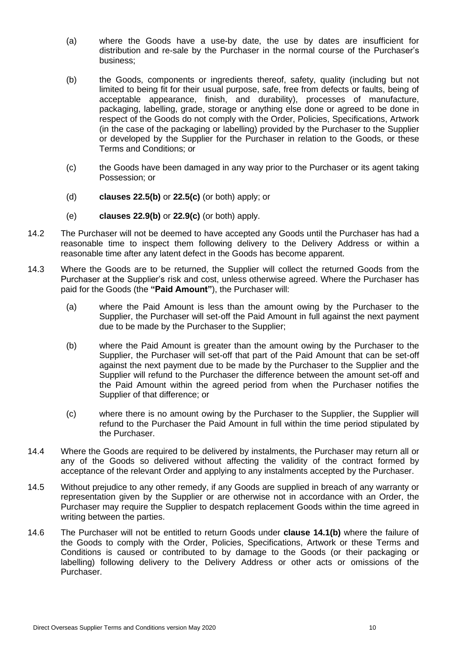- (a) where the Goods have a use-by date, the use by dates are insufficient for distribution and re-sale by the Purchaser in the normal course of the Purchaser's business;
- <span id="page-9-1"></span>(b) the Goods, components or ingredients thereof, safety, quality (including but not limited to being fit for their usual purpose, safe, free from defects or faults, being of acceptable appearance, finish, and durability), processes of manufacture, packaging, labelling, grade, storage or anything else done or agreed to be done in respect of the Goods do not comply with the Order, Policies, Specifications, Artwork (in the case of the packaging or labelling) provided by the Purchaser to the Supplier or developed by the Supplier for the Purchaser in relation to the Goods, or these Terms and Conditions; or
- (c) the Goods have been damaged in any way prior to the Purchaser or its agent taking Possession; or
- (d) **clauses [22.5\(b\)](#page-14-0)** or **[22.5\(c\)](#page-14-1)** (or both) apply; or
- (e) **clauses [22.9\(b\)](#page-15-0)** or **[22.9\(c\)](#page-15-1)** (or both) apply.
- <span id="page-9-0"></span>14.2 The Purchaser will not be deemed to have accepted any Goods until the Purchaser has had a reasonable time to inspect them following delivery to the Delivery Address or within a reasonable time after any latent defect in the Goods has become apparent.
- 14.3 Where the Goods are to be returned, the Supplier will collect the returned Goods from the Purchaser at the Supplier's risk and cost, unless otherwise agreed. Where the Purchaser has paid for the Goods (the **"Paid Amount"**), the Purchaser will:
	- (a) where the Paid Amount is less than the amount owing by the Purchaser to the Supplier, the Purchaser will set-off the Paid Amount in full against the next payment due to be made by the Purchaser to the Supplier;
	- (b) where the Paid Amount is greater than the amount owing by the Purchaser to the Supplier, the Purchaser will set-off that part of the Paid Amount that can be set-off against the next payment due to be made by the Purchaser to the Supplier and the Supplier will refund to the Purchaser the difference between the amount set-off and the Paid Amount within the agreed period from when the Purchaser notifies the Supplier of that difference; or
	- (c) where there is no amount owing by the Purchaser to the Supplier, the Supplier will refund to the Purchaser the Paid Amount in full within the time period stipulated by the Purchaser.
- 14.4 Where the Goods are required to be delivered by instalments, the Purchaser may return all or any of the Goods so delivered without affecting the validity of the contract formed by acceptance of the relevant Order and applying to any instalments accepted by the Purchaser.
- 14.5 Without prejudice to any other remedy, if any Goods are supplied in breach of any warranty or representation given by the Supplier or are otherwise not in accordance with an Order, the Purchaser may require the Supplier to despatch replacement Goods within the time agreed in writing between the parties.
- 14.6 The Purchaser will not be entitled to return Goods under **clause [14.1\(b\)](#page-9-1)** where the failure of the Goods to comply with the Order, Policies, Specifications, Artwork or these Terms and Conditions is caused or contributed to by damage to the Goods (or their packaging or labelling) following delivery to the Delivery Address or other acts or omissions of the Purchaser.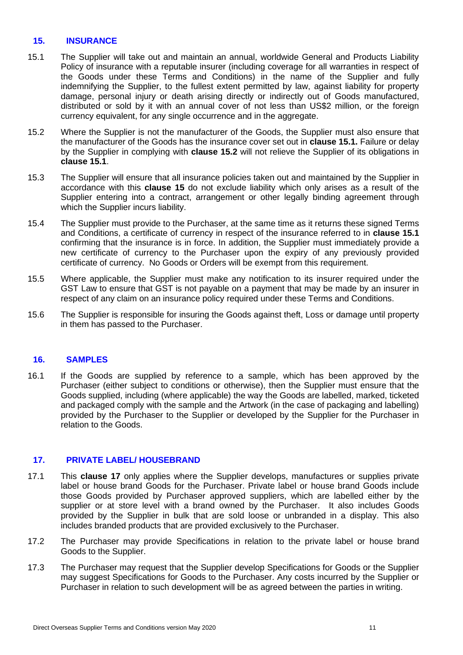### <span id="page-10-0"></span>**15. INSURANCE**

- <span id="page-10-1"></span>15.1 The Supplier will take out and maintain an annual, worldwide General and Products Liability Policy of insurance with a reputable insurer (including coverage for all warranties in respect of the Goods under these Terms and Conditions) in the name of the Supplier and fully indemnifying the Supplier, to the fullest extent permitted by law, against liability for property damage, personal injury or death arising directly or indirectly out of Goods manufactured, distributed or sold by it with an annual cover of not less than US\$2 million, or the foreign currency equivalent, for any single occurrence and in the aggregate.
- <span id="page-10-2"></span>15.2 Where the Supplier is not the manufacturer of the Goods, the Supplier must also ensure that the manufacturer of the Goods has the insurance cover set out in **clause [15.1.](#page-10-1)** Failure or delay by the Supplier in complying with **clause [15.2](#page-10-2)** will not relieve the Supplier of its obligations in **clause [15.1](#page-10-1)**.
- 15.3 The Supplier will ensure that all insurance policies taken out and maintained by the Supplier in accordance with this **clause [15](#page-10-0)** do not exclude liability which only arises as a result of the Supplier entering into a contract, arrangement or other legally binding agreement through which the Supplier incurs liability.
- 15.4 The Supplier must provide to the Purchaser, at the same time as it returns these signed Terms and Conditions, a certificate of currency in respect of the insurance referred to in **clause [15.1](#page-10-1)** confirming that the insurance is in force. In addition, the Supplier must immediately provide a new certificate of currency to the Purchaser upon the expiry of any previously provided certificate of currency. No Goods or Orders will be exempt from this requirement.
- 15.5 Where applicable, the Supplier must make any notification to its insurer required under the GST Law to ensure that GST is not payable on a payment that may be made by an insurer in respect of any claim on an insurance policy required under these Terms and Conditions.
- 15.6 The Supplier is responsible for insuring the Goods against theft, Loss or damage until property in them has passed to the Purchaser.

### **16. SAMPLES**

16.1 If the Goods are supplied by reference to a sample, which has been approved by the Purchaser (either subject to conditions or otherwise), then the Supplier must ensure that the Goods supplied, including (where applicable) the way the Goods are labelled, marked, ticketed and packaged comply with the sample and the Artwork (in the case of packaging and labelling) provided by the Purchaser to the Supplier or developed by the Supplier for the Purchaser in relation to the Goods.

### **17. PRIVATE LABEL/ HOUSEBRAND**

- 17.1 This **clause 17** only applies where the Supplier develops, manufactures or supplies private label or house brand Goods for the Purchaser. Private label or house brand Goods include those Goods provided by Purchaser approved suppliers, which are labelled either by the supplier or at store level with a brand owned by the Purchaser. It also includes Goods provided by the Supplier in bulk that are sold loose or unbranded in a display. This also includes branded products that are provided exclusively to the Purchaser.
- 17.2 The Purchaser may provide Specifications in relation to the private label or house brand Goods to the Supplier.
- 17.3 The Purchaser may request that the Supplier develop Specifications for Goods or the Supplier may suggest Specifications for Goods to the Purchaser. Any costs incurred by the Supplier or Purchaser in relation to such development will be as agreed between the parties in writing.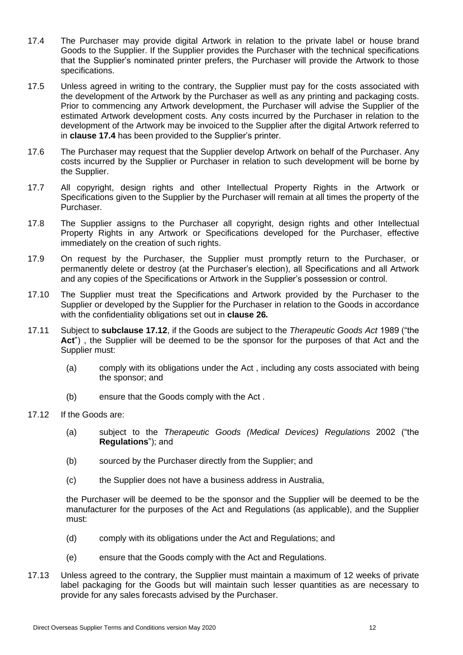- <span id="page-11-0"></span>17.4 The Purchaser may provide digital Artwork in relation to the private label or house brand Goods to the Supplier. If the Supplier provides the Purchaser with the technical specifications that the Supplier's nominated printer prefers, the Purchaser will provide the Artwork to those specifications.
- 17.5 Unless agreed in writing to the contrary, the Supplier must pay for the costs associated with the development of the Artwork by the Purchaser as well as any printing and packaging costs. Prior to commencing any Artwork development, the Purchaser will advise the Supplier of the estimated Artwork development costs. Any costs incurred by the Purchaser in relation to the development of the Artwork may be invoiced to the Supplier after the digital Artwork referred to in **clause [17.4](#page-11-0)** has been provided to the Supplier's printer.
- 17.6 The Purchaser may request that the Supplier develop Artwork on behalf of the Purchaser. Any costs incurred by the Supplier or Purchaser in relation to such development will be borne by the Supplier.
- 17.7 All copyright, design rights and other Intellectual Property Rights in the Artwork or Specifications given to the Supplier by the Purchaser will remain at all times the property of the Purchaser.
- 17.8 The Supplier assigns to the Purchaser all copyright, design rights and other Intellectual Property Rights in any Artwork or Specifications developed for the Purchaser, effective immediately on the creation of such rights.
- 17.9 On request by the Purchaser, the Supplier must promptly return to the Purchaser, or permanently delete or destroy (at the Purchaser's election), all Specifications and all Artwork and any copies of the Specifications or Artwork in the Supplier's possession or control.
- 17.10 The Supplier must treat the Specifications and Artwork provided by the Purchaser to the Supplier or developed by the Supplier for the Purchaser in relation to the Goods in accordance with the confidentiality obligations set out in **clause [26](#page-17-0)***.*
- 17.11 Subject to **subclause [17.12](#page-11-1)**, if the Goods are subject to the *Therapeutic Goods Act* 1989 ("the **Act**") , the Supplier will be deemed to be the sponsor for the purposes of that Act and the Supplier must:
	- (a) comply with its obligations under the Act , including any costs associated with being the sponsor; and
	- (b) ensure that the Goods comply with the Act .
- <span id="page-11-1"></span>17.12 If the Goods are:
	- (a) subject to the *Therapeutic Goods (Medical Devices) Regulations* 2002 ("the **Regulations**"); and
	- (b) sourced by the Purchaser directly from the Supplier; and
	- (c) the Supplier does not have a business address in Australia,

the Purchaser will be deemed to be the sponsor and the Supplier will be deemed to be the manufacturer for the purposes of the Act and Regulations (as applicable), and the Supplier must:

- (d) comply with its obligations under the Act and Regulations; and
- (e) ensure that the Goods comply with the Act and Regulations.
- 17.13 Unless agreed to the contrary, the Supplier must maintain a maximum of 12 weeks of private label packaging for the Goods but will maintain such lesser quantities as are necessary to provide for any sales forecasts advised by the Purchaser.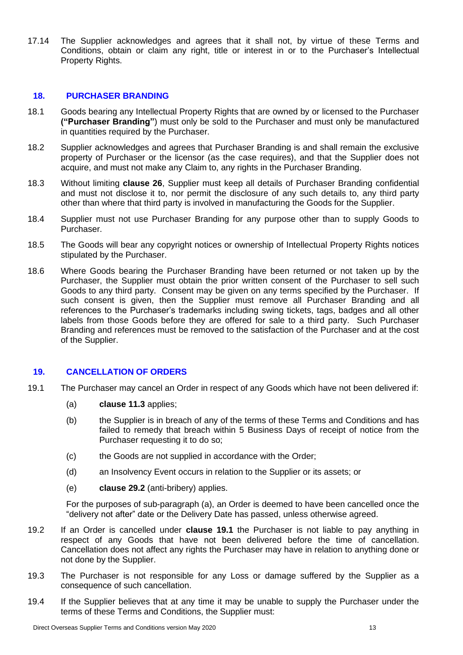17.14 The Supplier acknowledges and agrees that it shall not, by virtue of these Terms and Conditions, obtain or claim any right, title or interest in or to the Purchaser's Intellectual Property Rights.

### **18. PURCHASER BRANDING**

- 18.1 Goods bearing any Intellectual Property Rights that are owned by or licensed to the Purchaser **("Purchaser Branding"**) must only be sold to the Purchaser and must only be manufactured in quantities required by the Purchaser.
- 18.2 Supplier acknowledges and agrees that Purchaser Branding is and shall remain the exclusive property of Purchaser or the licensor (as the case requires), and that the Supplier does not acquire, and must not make any Claim to, any rights in the Purchaser Branding.
- 18.3 Without limiting **clause [26](#page-17-0)**, Supplier must keep all details of Purchaser Branding confidential and must not disclose it to, nor permit the disclosure of any such details to, any third party other than where that third party is involved in manufacturing the Goods for the Supplier.
- 18.4 Supplier must not use Purchaser Branding for any purpose other than to supply Goods to Purchaser.
- 18.5 The Goods will bear any copyright notices or ownership of Intellectual Property Rights notices stipulated by the Purchaser.
- 18.6 Where Goods bearing the Purchaser Branding have been returned or not taken up by the Purchaser, the Supplier must obtain the prior written consent of the Purchaser to sell such Goods to any third party. Consent may be given on any terms specified by the Purchaser. If such consent is given, then the Supplier must remove all Purchaser Branding and all references to the Purchaser's trademarks including swing tickets, tags, badges and all other labels from those Goods before they are offered for sale to a third party. Such Purchaser Branding and references must be removed to the satisfaction of the Purchaser and at the cost of the Supplier.

### **19. CANCELLATION OF ORDERS**

- 19.1 The Purchaser may cancel an Order in respect of any Goods which have not been delivered if:
	- (a) **clause [11.3](#page-7-2)** applies;
	- (b) the Supplier is in breach of any of the terms of these Terms and Conditions and has failed to remedy that breach within 5 Business Days of receipt of notice from the Purchaser requesting it to do so;
	- (c) the Goods are not supplied in accordance with the Order;
	- (d) an Insolvency Event occurs in relation to the Supplier or its assets; or
	- (e) **clause 29.2** (anti-bribery) applies.

For the purposes of sub-paragraph (a), an Order is deemed to have been cancelled once the "delivery not after" date or the Delivery Date has passed, unless otherwise agreed.

- 19.2 If an Order is cancelled under **clause 19.1** the Purchaser is not liable to pay anything in respect of any Goods that have not been delivered before the time of cancellation. Cancellation does not affect any rights the Purchaser may have in relation to anything done or not done by the Supplier.
- 19.3 The Purchaser is not responsible for any Loss or damage suffered by the Supplier as a consequence of such cancellation.
- 19.4 If the Supplier believes that at any time it may be unable to supply the Purchaser under the terms of these Terms and Conditions, the Supplier must: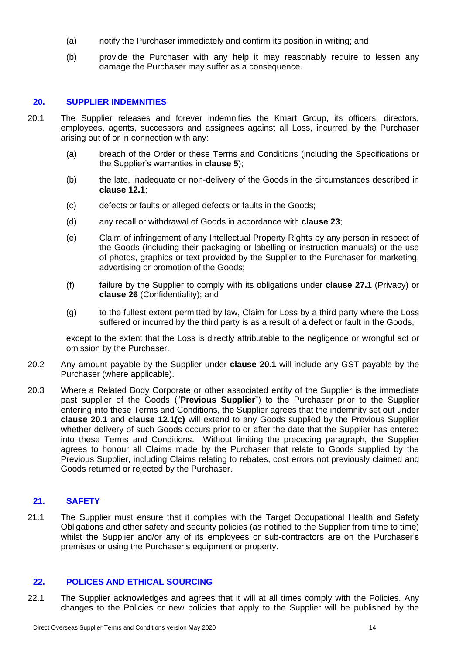- (a) notify the Purchaser immediately and confirm its position in writing; and
- (b) provide the Purchaser with any help it may reasonably require to lessen any damage the Purchaser may suffer as a consequence.

### **20. SUPPLIER INDEMNITIES**

- <span id="page-13-0"></span>20.1 The Supplier releases and forever indemnifies the Kmart Group, its officers, directors, employees, agents, successors and assignees against all Loss, incurred by the Purchaser arising out of or in connection with any:
	- (a) breach of the Order or these Terms and Conditions (including the Specifications or the Supplier's warranties in **clause 5**);
	- (b) the late, inadequate or non-delivery of the Goods in the circumstances described in **clause [12.1](#page-7-3)**;
	- (c) defects or faults or alleged defects or faults in the Goods;
	- (d) any recall or withdrawal of Goods in accordance with **clause [23](#page-15-2)**;
	- (e) Claim of infringement of any Intellectual Property Rights by any person in respect of the Goods (including their packaging or labelling or instruction manuals) or the use of photos, graphics or text provided by the Supplier to the Purchaser for marketing, advertising or promotion of the Goods;
	- (f) failure by the Supplier to comply with its obligations under **clause [27.1](#page-17-1)** (Privacy) or **clause [26](#page-17-0)** (Confidentiality); and
	- (g) to the fullest extent permitted by law, Claim for Loss by a third party where the Loss suffered or incurred by the third party is as a result of a defect or fault in the Goods,

except to the extent that the Loss is directly attributable to the negligence or wrongful act or omission by the Purchaser.

- 20.2 Any amount payable by the Supplier under **clause [20.1](#page-13-0)** will include any GST payable by the Purchaser (where applicable).
- <span id="page-13-1"></span>20.3 Where a Related Body Corporate or other associated entity of the Supplier is the immediate past supplier of the Goods ("**Previous Supplier**") to the Purchaser prior to the Supplier entering into these Terms and Conditions, the Supplier agrees that the indemnity set out under **clause [20.1](#page-13-0)** and **clause [12.1\(c\)](#page-8-5)** will extend to any Goods supplied by the Previous Supplier whether delivery of such Goods occurs prior to or after the date that the Supplier has entered into these Terms and Conditions. Without limiting the preceding paragraph, the Supplier agrees to honour all Claims made by the Purchaser that relate to Goods supplied by the Previous Supplier, including Claims relating to rebates, cost errors not previously claimed and Goods returned or rejected by the Purchaser.

### **21. SAFETY**

21.1 The Supplier must ensure that it complies with the Target Occupational Health and Safety Obligations and other safety and security policies (as notified to the Supplier from time to time) whilst the Supplier and/or any of its employees or sub-contractors are on the Purchaser's premises or using the Purchaser's equipment or property.

### **22. POLICES AND ETHICAL SOURCING**

22.1 The Supplier acknowledges and agrees that it will at all times comply with the Policies. Any changes to the Policies or new policies that apply to the Supplier will be published by the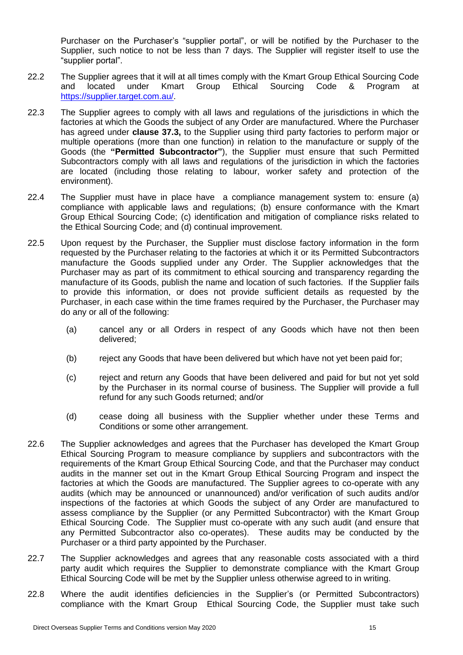Purchaser on the Purchaser's "supplier portal", or will be notified by the Purchaser to the Supplier, such notice to not be less than 7 days. The Supplier will register itself to use the "supplier portal".

- 22.2 The Supplier agrees that it will at all times comply with the Kmart Group Ethical Sourcing Code and located under Kmart Group Ethical Sourcing Code & Program at [https://supplier.target.com.au/.](https://supplier.target.com.au/)
- 22.3 The Supplier agrees to comply with all laws and regulations of the jurisdictions in which the factories at which the Goods the subject of any Order are manufactured. Where the Purchaser has agreed under **clause [37.3,](#page-21-0)** to the Supplier using third party factories to perform major or multiple operations (more than one function) in relation to the manufacture or supply of the Goods (the **"Permitted Subcontractor"**), the Supplier must ensure that such Permitted Subcontractors comply with all laws and regulations of the jurisdiction in which the factories are located (including those relating to labour, worker safety and protection of the environment).
- 22.4 The Supplier must have in place have a compliance management system to: ensure (a) compliance with applicable laws and regulations; (b) ensure conformance with the Kmart Group Ethical Sourcing Code; (c) identification and mitigation of compliance risks related to the Ethical Sourcing Code; and (d) continual improvement.
- <span id="page-14-2"></span>22.5 Upon request by the Purchaser, the Supplier must disclose factory information in the form requested by the Purchaser relating to the factories at which it or its Permitted Subcontractors manufacture the Goods supplied under any Order. The Supplier acknowledges that the Purchaser may as part of its commitment to ethical sourcing and transparency regarding the manufacture of its Goods, publish the name and location of such factories. If the Supplier fails to provide this information, or does not provide sufficient details as requested by the Purchaser, in each case within the time frames required by the Purchaser, the Purchaser may do any or all of the following:
	- (a) cancel any or all Orders in respect of any Goods which have not then been delivered;
	- (b) reject any Goods that have been delivered but which have not yet been paid for;
	- (c) reject and return any Goods that have been delivered and paid for but not yet sold by the Purchaser in its normal course of business. The Supplier will provide a full refund for any such Goods returned; and/or
	- (d) cease doing all business with the Supplier whether under these Terms and Conditions or some other arrangement.
- <span id="page-14-1"></span><span id="page-14-0"></span>22.6 The Supplier acknowledges and agrees that the Purchaser has developed the Kmart Group Ethical Sourcing Program to measure compliance by suppliers and subcontractors with the requirements of the Kmart Group Ethical Sourcing Code, and that the Purchaser may conduct audits in the manner set out in the Kmart Group Ethical Sourcing Program and inspect the factories at which the Goods are manufactured. The Supplier agrees to co-operate with any audits (which may be announced or unannounced) and/or verification of such audits and/or inspections of the factories at which Goods the subject of any Order are manufactured to assess compliance by the Supplier (or any Permitted Subcontractor) with the Kmart Group Ethical Sourcing Code. The Supplier must co-operate with any such audit (and ensure that any Permitted Subcontractor also co-operates). These audits may be conducted by the Purchaser or a third party appointed by the Purchaser.
- 22.7 The Supplier acknowledges and agrees that any reasonable costs associated with a third party audit which requires the Supplier to demonstrate compliance with the Kmart Group Ethical Sourcing Code will be met by the Supplier unless otherwise agreed to in writing.
- 22.8 Where the audit identifies deficiencies in the Supplier's (or Permitted Subcontractors) compliance with the Kmart Group Ethical Sourcing Code, the Supplier must take such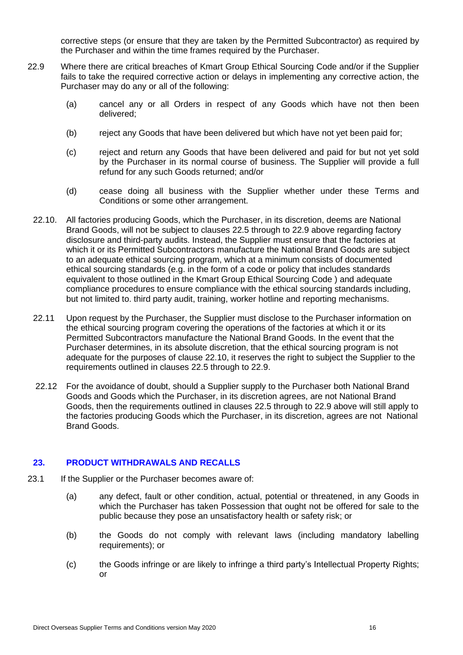corrective steps (or ensure that they are taken by the Permitted Subcontractor) as required by the Purchaser and within the time frames required by the Purchaser.

- <span id="page-15-1"></span><span id="page-15-0"></span>22.9 Where there are critical breaches of Kmart Group Ethical Sourcing Code and/or if the Supplier fails to take the required corrective action or delays in implementing any corrective action, the Purchaser may do any or all of the following:
	- (a) cancel any or all Orders in respect of any Goods which have not then been delivered;
	- (b) reject any Goods that have been delivered but which have not yet been paid for;
	- (c) reject and return any Goods that have been delivered and paid for but not yet sold by the Purchaser in its normal course of business. The Supplier will provide a full refund for any such Goods returned; and/or
	- (d) cease doing all business with the Supplier whether under these Terms and Conditions or some other arrangement.
	- 22.10. All factories producing Goods, which the Purchaser, in its discretion, deems are National Brand Goods, will not be subject to clauses 22.5 through to 22.9 above regarding factory disclosure and third-party audits. Instead, the Supplier must ensure that the factories at which it or its Permitted Subcontractors manufacture the National Brand Goods are subject to an adequate ethical sourcing program, which at a minimum consists of documented ethical sourcing standards (e.g. in the form of a code or policy that includes standards equivalent to those outlined in the Kmart Group Ethical Sourcing Code ) and adequate compliance procedures to ensure compliance with the ethical sourcing standards including, but not limited to. third party audit, training, worker hotline and reporting mechanisms.
	- 22.11 Upon request by the Purchaser, the Supplier must disclose to the Purchaser information on the ethical sourcing program covering the operations of the factories at which it or its Permitted Subcontractors manufacture the National Brand Goods. In the event that the Purchaser determines, in its absolute discretion, that the ethical sourcing program is not adequate for the purposes of clause 22.10, it reserves the right to subject the Supplier to the requirements outlined in clauses 22.5 through to 22.9.
	- 22.12 For the avoidance of doubt, should a Supplier supply to the Purchaser both National Brand Goods and Goods which the Purchaser, in its discretion agrees, are not National Brand Goods, then the requirements outlined in clauses 22.5 through to 22.9 above will still apply to the factories producing Goods which the Purchaser, in its discretion, agrees are not National Brand Goods.

### <span id="page-15-2"></span>**23. PRODUCT WITHDRAWALS AND RECALLS**

- <span id="page-15-3"></span>23.1 If the Supplier or the Purchaser becomes aware of:
	- (a) any defect, fault or other condition, actual, potential or threatened, in any Goods in which the Purchaser has taken Possession that ought not be offered for sale to the public because they pose an unsatisfactory health or safety risk; or
	- (b) the Goods do not comply with relevant laws (including mandatory labelling requirements); or
	- (c) the Goods infringe or are likely to infringe a third party's Intellectual Property Rights; or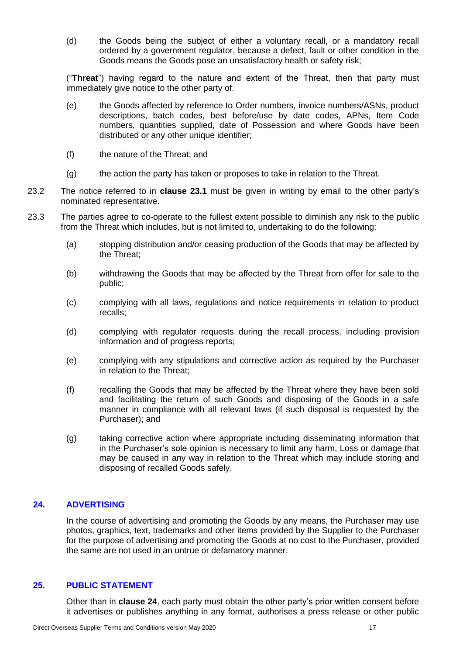(d) the Goods being the subject of either a voluntary recall, or a mandatory recall ordered by a government regulator, because a defect, fault or other condition in the Goods means the Goods pose an unsatisfactory health or safety risk;

("**Threat**") having regard to the nature and extent of the Threat, then that party must immediately give notice to the other party of:

- (e) the Goods affected by reference to Order numbers, invoice numbers/ASNs, product descriptions, batch codes, best before/use by date codes, APNs, Item Code numbers, quantities supplied, date of Possession and where Goods have been distributed or any other unique identifier;
- (f) the nature of the Threat; and
- (g) the action the party has taken or proposes to take in relation to the Threat.
- 23.2 The notice referred to in **clause [23.1](#page-15-3)** must be given in writing by email to the other party's nominated representative.
- 23.3 The parties agree to co-operate to the fullest extent possible to diminish any risk to the public from the Threat which includes, but is not limited to, undertaking to do the following:
	- (a) stopping distribution and/or ceasing production of the Goods that may be affected by the Threat;
	- (b) withdrawing the Goods that may be affected by the Threat from offer for sale to the public;
	- (c) complying with all laws, regulations and notice requirements in relation to product recalls;
	- (d) complying with regulator requests during the recall process, including provision information and of progress reports;
	- (e) complying with any stipulations and corrective action as required by the Purchaser in relation to the Threat;
	- (f) recalling the Goods that may be affected by the Threat where they have been sold and facilitating the return of such Goods and disposing of the Goods in a safe manner in compliance with all relevant laws (if such disposal is requested by the Purchaser); and
	- (g) taking corrective action where appropriate including disseminating information that in the Purchaser's sole opinion is necessary to limit any harm, Loss or damage that may be caused in any way in relation to the Threat which may include storing and disposing of recalled Goods safely.

### <span id="page-16-0"></span>**24. ADVERTISING**

In the course of advertising and promoting the Goods by any means, the Purchaser may use photos, graphics, text, trademarks and other items provided by the Supplier to the Purchaser for the purpose of advertising and promoting the Goods at no cost to the Purchaser, provided the same are not used in an untrue or defamatory manner.

### **25. PUBLIC STATEMENT**

Other than in **clause [24](#page-16-0)**, each party must obtain the other party's prior written consent before it advertises or publishes anything in any format, authorises a press release or other public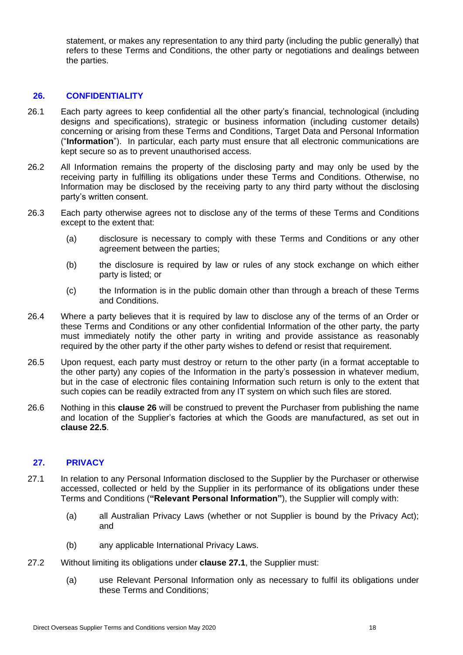statement, or makes any representation to any third party (including the public generally) that refers to these Terms and Conditions, the other party or negotiations and dealings between the parties.

### <span id="page-17-0"></span>**26. CONFIDENTIALITY**

- 26.1 Each party agrees to keep confidential all the other party's financial, technological (including designs and specifications), strategic or business information (including customer details) concerning or arising from these Terms and Conditions, Target Data and Personal Information ("**Information**"). In particular, each party must ensure that all electronic communications are kept secure so as to prevent unauthorised access.
- 26.2 All Information remains the property of the disclosing party and may only be used by the receiving party in fulfilling its obligations under these Terms and Conditions. Otherwise, no Information may be disclosed by the receiving party to any third party without the disclosing party's written consent.
- 26.3 Each party otherwise agrees not to disclose any of the terms of these Terms and Conditions except to the extent that:
	- (a) disclosure is necessary to comply with these Terms and Conditions or any other agreement between the parties;
	- (b) the disclosure is required by law or rules of any stock exchange on which either party is listed; or
	- (c) the Information is in the public domain other than through a breach of these Terms and Conditions.
- 26.4 Where a party believes that it is required by law to disclose any of the terms of an Order or these Terms and Conditions or any other confidential Information of the other party, the party must immediately notify the other party in writing and provide assistance as reasonably required by the other party if the other party wishes to defend or resist that requirement.
- 26.5 Upon request, each party must destroy or return to the other party (in a format acceptable to the other party) any copies of the Information in the party's possession in whatever medium, but in the case of electronic files containing Information such return is only to the extent that such copies can be readily extracted from any IT system on which such files are stored.
- 26.6 Nothing in this **clause [26](#page-17-0)** will be construed to prevent the Purchaser from publishing the name and location of the Supplier's factories at which the Goods are manufactured, as set out in **clause [22.5](#page-14-2)**.

### <span id="page-17-2"></span>**27. PRIVACY**

- <span id="page-17-1"></span>27.1 In relation to any Personal Information disclosed to the Supplier by the Purchaser or otherwise accessed, collected or held by the Supplier in its performance of its obligations under these Terms and Conditions (**"Relevant Personal Information"**), the Supplier will comply with:
	- (a) all Australian Privacy Laws (whether or not Supplier is bound by the Privacy Act); and
	- (b) any applicable International Privacy Laws.
- 27.2 Without limiting its obligations under **clause [27.1](#page-17-1)**, the Supplier must:
	- (a) use Relevant Personal Information only as necessary to fulfil its obligations under these Terms and Conditions;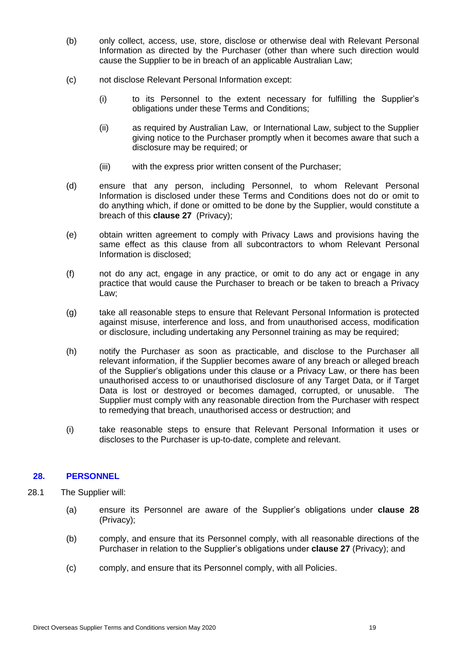- (b) only collect, access, use, store, disclose or otherwise deal with Relevant Personal Information as directed by the Purchaser (other than where such direction would cause the Supplier to be in breach of an applicable Australian Law;
- (c) not disclose Relevant Personal Information except:
	- (i) to its Personnel to the extent necessary for fulfilling the Supplier's obligations under these Terms and Conditions;
	- (ii) as required by Australian Law, or International Law, subject to the Supplier giving notice to the Purchaser promptly when it becomes aware that such a disclosure may be required; or
	- (iii) with the express prior written consent of the Purchaser;
- (d) ensure that any person, including Personnel, to whom Relevant Personal Information is disclosed under these Terms and Conditions does not do or omit to do anything which, if done or omitted to be done by the Supplier, would constitute a breach of this **clause [27](#page-17-2)** (Privacy);
- (e) obtain written agreement to comply with Privacy Laws and provisions having the same effect as this clause from all subcontractors to whom Relevant Personal Information is disclosed;
- (f) not do any act, engage in any practice, or omit to do any act or engage in any practice that would cause the Purchaser to breach or be taken to breach a Privacy Law;
- (g) take all reasonable steps to ensure that Relevant Personal Information is protected against misuse, interference and loss, and from unauthorised access, modification or disclosure, including undertaking any Personnel training as may be required;
- (h) notify the Purchaser as soon as practicable, and disclose to the Purchaser all relevant information, if the Supplier becomes aware of any breach or alleged breach of the Supplier's obligations under this clause or a Privacy Law, or there has been unauthorised access to or unauthorised disclosure of any Target Data, or if Target Data is lost or destroyed or becomes damaged, corrupted, or unusable. The Supplier must comply with any reasonable direction from the Purchaser with respect to remedying that breach, unauthorised access or destruction; and
- (i) take reasonable steps to ensure that Relevant Personal Information it uses or discloses to the Purchaser is up-to-date, complete and relevant.

### **28. PERSONNEL**

- 28.1 The Supplier will:
	- (a) ensure its Personnel are aware of the Supplier's obligations under **clause 28**  (Privacy);
	- (b) comply, and ensure that its Personnel comply, with all reasonable directions of the Purchaser in relation to the Supplier's obligations under **clause [27](#page-17-2)** (Privacy); and
	- (c) comply, and ensure that its Personnel comply, with all Policies.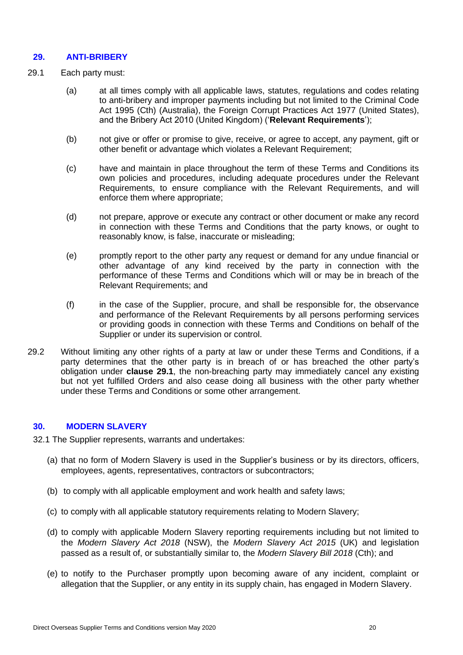### **29. ANTI-BRIBERY**

- <span id="page-19-0"></span>29.1 Each party must:
	- (a) at all times comply with all applicable laws, statutes, regulations and codes relating to anti-bribery and improper payments including but not limited to the Criminal Code Act 1995 (Cth) (Australia), the Foreign Corrupt Practices Act 1977 (United States), and the Bribery Act 2010 (United Kingdom) ('**Relevant Requirements**');
	- (b) not give or offer or promise to give, receive, or agree to accept, any payment, gift or other benefit or advantage which violates a Relevant Requirement;
	- (c) have and maintain in place throughout the term of these Terms and Conditions its own policies and procedures, including adequate procedures under the Relevant Requirements, to ensure compliance with the Relevant Requirements, and will enforce them where appropriate;
	- (d) not prepare, approve or execute any contract or other document or make any record in connection with these Terms and Conditions that the party knows, or ought to reasonably know, is false, inaccurate or misleading;
	- (e) promptly report to the other party any request or demand for any undue financial or other advantage of any kind received by the party in connection with the performance of these Terms and Conditions which will or may be in breach of the Relevant Requirements; and
	- (f) in the case of the Supplier, procure, and shall be responsible for, the observance and performance of the Relevant Requirements by all persons performing services or providing goods in connection with these Terms and Conditions on behalf of the Supplier or under its supervision or control.
- 29.2 Without limiting any other rights of a party at law or under these Terms and Conditions, if a party determines that the other party is in breach of or has breached the other party's obligation under **clause 29.1**, the non-breaching party may immediately cancel any existing but not yet fulfilled Orders and also cease doing all business with the other party whether under these Terms and Conditions or some other arrangement.

### **30. MODERN SLAVERY**

32.1 The Supplier represents, warrants and undertakes:

- (a) that no form of Modern Slavery is used in the Supplier's business or by its directors, officers, employees, agents, representatives, contractors or subcontractors;
- (b) to comply with all applicable employment and work health and safety laws;
- (c) to comply with all applicable statutory requirements relating to Modern Slavery;
- (d) to comply with applicable Modern Slavery reporting requirements including but not limited to the *Modern Slavery Act 2018* (NSW), the *Modern Slavery Act 2015* (UK) and legislation passed as a result of, or substantially similar to, the *Modern Slavery Bill 2018* (Cth); and
- (e) to notify to the Purchaser promptly upon becoming aware of any incident, complaint or allegation that the Supplier, or any entity in its supply chain, has engaged in Modern Slavery.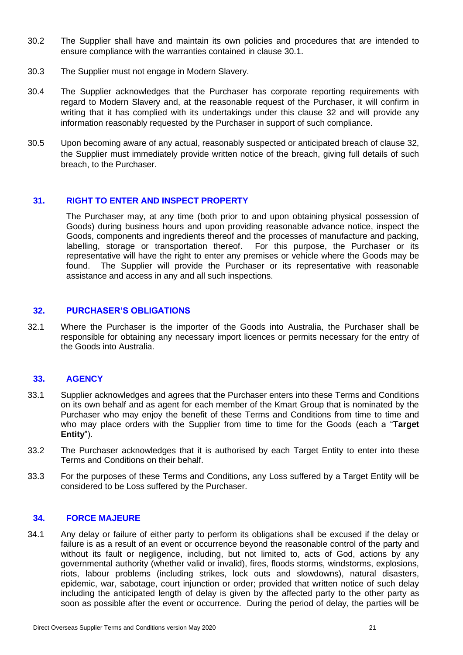- 30.2 The Supplier shall have and maintain its own policies and procedures that are intended to ensure compliance with the warranties contained in clause 30.1.
- 30.3 The Supplier must not engage in Modern Slavery.
- 30.4 The Supplier acknowledges that the Purchaser has corporate reporting requirements with regard to Modern Slavery and, at the reasonable request of the Purchaser, it will confirm in writing that it has complied with its undertakings under this clause 32 and will provide any information reasonably requested by the Purchaser in support of such compliance.
- 30.5 Upon becoming aware of any actual, reasonably suspected or anticipated breach of clause 32, the Supplier must immediately provide written notice of the breach, giving full details of such breach, to the Purchaser.

### **31. RIGHT TO ENTER AND INSPECT PROPERTY**

The Purchaser may, at any time (both prior to and upon obtaining physical possession of Goods) during business hours and upon providing reasonable advance notice, inspect the Goods, components and ingredients thereof and the processes of manufacture and packing, labelling, storage or transportation thereof. For this purpose, the Purchaser or its representative will have the right to enter any premises or vehicle where the Goods may be found. The Supplier will provide the Purchaser or its representative with reasonable assistance and access in any and all such inspections.

### **32. PURCHASER'S OBLIGATIONS**

32.1 Where the Purchaser is the importer of the Goods into Australia, the Purchaser shall be responsible for obtaining any necessary import licences or permits necessary for the entry of the Goods into Australia.

### **33. AGENCY**

- <span id="page-20-0"></span>33.1 Supplier acknowledges and agrees that the Purchaser enters into these Terms and Conditions on its own behalf and as agent for each member of the Kmart Group that is nominated by the Purchaser who may enjoy the benefit of these Terms and Conditions from time to time and who may place orders with the Supplier from time to time for the Goods (each a "**Target Entity**").
- 33.2 The Purchaser acknowledges that it is authorised by each Target Entity to enter into these Terms and Conditions on their behalf.
- 33.3 For the purposes of these Terms and Conditions, any Loss suffered by a Target Entity will be considered to be Loss suffered by the Purchaser.

#### **34. FORCE MAJEURE**

34.1 Any delay or failure of either party to perform its obligations shall be excused if the delay or failure is as a result of an event or occurrence beyond the reasonable control of the party and without its fault or negligence, including, but not limited to, acts of God, actions by any governmental authority (whether valid or invalid), fires, floods storms, windstorms, explosions, riots, labour problems (including strikes, lock outs and slowdowns), natural disasters, epidemic, war, sabotage, court injunction or order; provided that written notice of such delay including the anticipated length of delay is given by the affected party to the other party as soon as possible after the event or occurrence. During the period of delay, the parties will be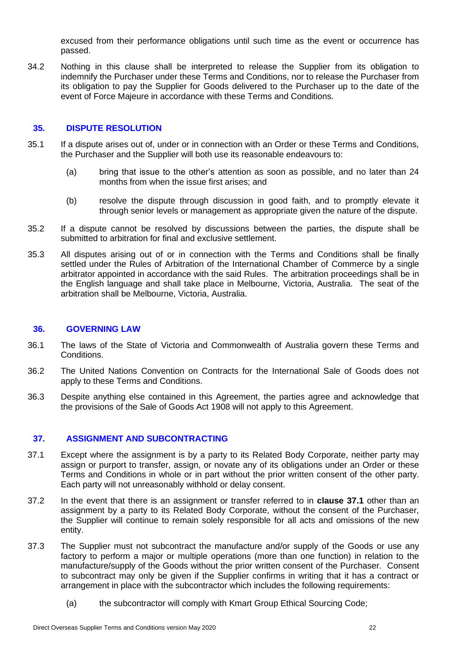excused from their performance obligations until such time as the event or occurrence has passed.

34.2 Nothing in this clause shall be interpreted to release the Supplier from its obligation to indemnify the Purchaser under these Terms and Conditions, nor to release the Purchaser from its obligation to pay the Supplier for Goods delivered to the Purchaser up to the date of the event of Force Majeure in accordance with these Terms and Conditions.

### **35. DISPUTE RESOLUTION**

- 35.1 If a dispute arises out of, under or in connection with an Order or these Terms and Conditions, the Purchaser and the Supplier will both use its reasonable endeavours to:
	- (a) bring that issue to the other's attention as soon as possible, and no later than 24 months from when the issue first arises; and
	- (b) resolve the dispute through discussion in good faith, and to promptly elevate it through senior levels or management as appropriate given the nature of the dispute.
- 35.2 If a dispute cannot be resolved by discussions between the parties, the dispute shall be submitted to arbitration for final and exclusive settlement.
- 35.3 All disputes arising out of or in connection with the Terms and Conditions shall be finally settled under the Rules of Arbitration of the International Chamber of Commerce by a single arbitrator appointed in accordance with the said Rules. The arbitration proceedings shall be in the English language and shall take place in Melbourne, Victoria, Australia. The seat of the arbitration shall be Melbourne, Victoria, Australia.

#### **36. GOVERNING LAW**

- 36.1 The laws of the State of Victoria and Commonwealth of Australia govern these Terms and Conditions.
- 36.2 The United Nations Convention on Contracts for the International Sale of Goods does not apply to these Terms and Conditions.
- 36.3 Despite anything else contained in this Agreement, the parties agree and acknowledge that the provisions of the Sale of Goods Act 1908 will not apply to this Agreement.

#### **37. ASSIGNMENT AND SUBCONTRACTING**

- <span id="page-21-1"></span>37.1 Except where the assignment is by a party to its Related Body Corporate, neither party may assign or purport to transfer, assign, or novate any of its obligations under an Order or these Terms and Conditions in whole or in part without the prior written consent of the other party. Each party will not unreasonably withhold or delay consent.
- 37.2 In the event that there is an assignment or transfer referred to in **clause [37.1](#page-21-1)** other than an assignment by a party to its Related Body Corporate, without the consent of the Purchaser, the Supplier will continue to remain solely responsible for all acts and omissions of the new entity.
- <span id="page-21-0"></span>37.3 The Supplier must not subcontract the manufacture and/or supply of the Goods or use any factory to perform a major or multiple operations (more than one function) in relation to the manufacture/supply of the Goods without the prior written consent of the Purchaser. Consent to subcontract may only be given if the Supplier confirms in writing that it has a contract or arrangement in place with the subcontractor which includes the following requirements:
	- (a) the subcontractor will comply with Kmart Group Ethical Sourcing Code;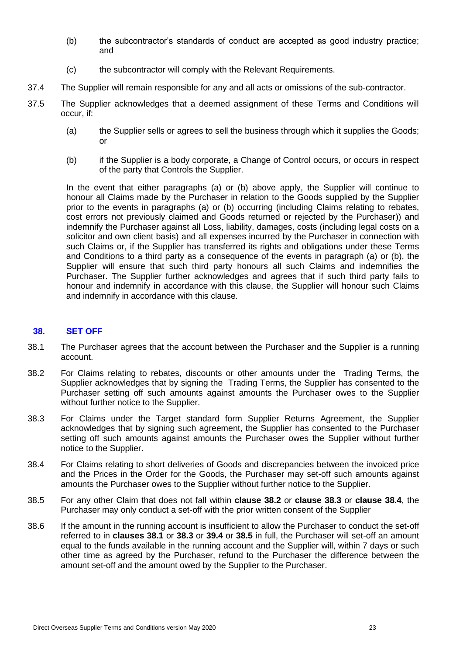- (b) the subcontractor's standards of conduct are accepted as good industry practice; and
- (c) the subcontractor will comply with the Relevant Requirements.
- 37.4 The Supplier will remain responsible for any and all acts or omissions of the sub-contractor.
- 37.5 The Supplier acknowledges that a deemed assignment of these Terms and Conditions will occur, if:
	- (a) the Supplier sells or agrees to sell the business through which it supplies the Goods; or
	- (b) if the Supplier is a body corporate, a Change of Control occurs, or occurs in respect of the party that Controls the Supplier.

In the event that either paragraphs (a) or (b) above apply, the Supplier will continue to honour all Claims made by the Purchaser in relation to the Goods supplied by the Supplier prior to the events in paragraphs (a) or (b) occurring (including Claims relating to rebates, cost errors not previously claimed and Goods returned or rejected by the Purchaser)) and indemnify the Purchaser against all Loss, liability, damages, costs (including legal costs on a solicitor and own client basis) and all expenses incurred by the Purchaser in connection with such Claims or, if the Supplier has transferred its rights and obligations under these Terms and Conditions to a third party as a consequence of the events in paragraph (a) or (b), the Supplier will ensure that such third party honours all such Claims and indemnifies the Purchaser. The Supplier further acknowledges and agrees that if such third party fails to honour and indemnify in accordance with this clause, the Supplier will honour such Claims and indemnify in accordance with this clause.

### <span id="page-22-0"></span>**38. SET OFF**

- 38.1 The Purchaser agrees that the account between the Purchaser and the Supplier is a running account.
- 38.2 For Claims relating to rebates, discounts or other amounts under the Trading Terms, the Supplier acknowledges that by signing the Trading Terms, the Supplier has consented to the Purchaser setting off such amounts against amounts the Purchaser owes to the Supplier without further notice to the Supplier.
- 38.3 For Claims under the Target standard form Supplier Returns Agreement, the Supplier acknowledges that by signing such agreement, the Supplier has consented to the Purchaser setting off such amounts against amounts the Purchaser owes the Supplier without further notice to the Supplier.
- 38.4 For Claims relating to short deliveries of Goods and discrepancies between the invoiced price and the Prices in the Order for the Goods, the Purchaser may set-off such amounts against amounts the Purchaser owes to the Supplier without further notice to the Supplier.
- 38.5 For any other Claim that does not fall within **clause 38.2** or **clause 38.3** or **clause 38.4**, the Purchaser may only conduct a set-off with the prior written consent of the Supplier
- 38.6 If the amount in the running account is insufficient to allow the Purchaser to conduct the set-off referred to in **clauses 38.1** or **38.3** or **39.4** or **38.5** in full, the Purchaser will set-off an amount equal to the funds available in the running account and the Supplier will, within 7 days or such other time as agreed by the Purchaser, refund to the Purchaser the difference between the amount set-off and the amount owed by the Supplier to the Purchaser.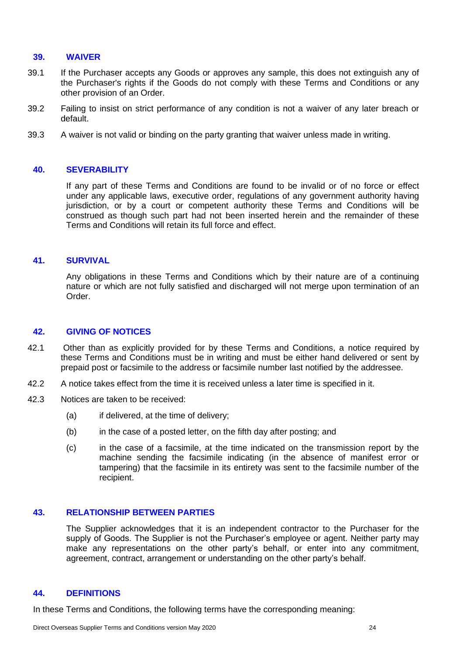#### **39. WAIVER**

- 39.1 If the Purchaser accepts any Goods or approves any sample, this does not extinguish any of the Purchaser's rights if the Goods do not comply with these Terms and Conditions or any other provision of an Order.
- 39.2 Failing to insist on strict performance of any condition is not a waiver of any later breach or default.
- 39.3 A waiver is not valid or binding on the party granting that waiver unless made in writing.

### **40. SEVERABILITY**

If any part of these Terms and Conditions are found to be invalid or of no force or effect under any applicable laws, executive order, regulations of any government authority having jurisdiction, or by a court or competent authority these Terms and Conditions will be construed as though such part had not been inserted herein and the remainder of these Terms and Conditions will retain its full force and effect.

### **41. SURVIVAL**

Any obligations in these Terms and Conditions which by their nature are of a continuing nature or which are not fully satisfied and discharged will not merge upon termination of an Order.

### **42. GIVING OF NOTICES**

- 42.1 Other than as explicitly provided for by these Terms and Conditions, a notice required by these Terms and Conditions must be in writing and must be either hand delivered or sent by prepaid post or facsimile to the address or facsimile number last notified by the addressee.
- 42.2 A notice takes effect from the time it is received unless a later time is specified in it.
- 42.3 Notices are taken to be received:
	- (a) if delivered, at the time of delivery;
	- (b) in the case of a posted letter, on the fifth day after posting; and
	- (c) in the case of a facsimile, at the time indicated on the transmission report by the machine sending the facsimile indicating (in the absence of manifest error or tampering) that the facsimile in its entirety was sent to the facsimile number of the recipient.

### **43. RELATIONSHIP BETWEEN PARTIES**

The Supplier acknowledges that it is an independent contractor to the Purchaser for the supply of Goods. The Supplier is not the Purchaser's employee or agent. Neither party may make any representations on the other party's behalf, or enter into any commitment, agreement, contract, arrangement or understanding on the other party's behalf.

### **44. DEFINITIONS**

In these Terms and Conditions, the following terms have the corresponding meaning: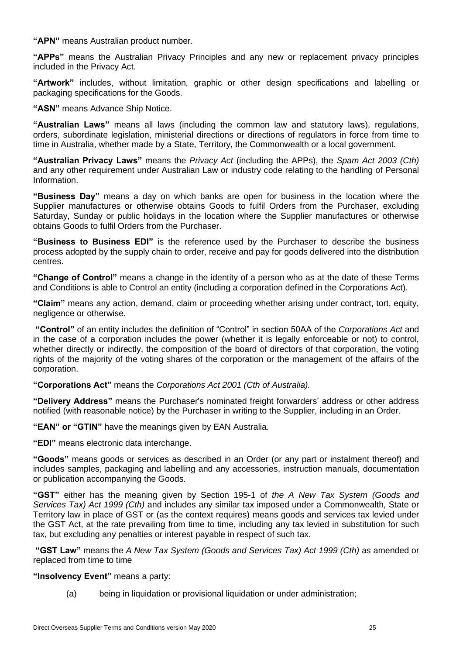**"APN"** means Australian product number.

**"APPs"** means the Australian Privacy Principles and any new or replacement privacy principles included in the Privacy Act.

**"Artwork"** includes, without limitation, graphic or other design specifications and labelling or packaging specifications for the Goods.

**"ASN"** means Advance Ship Notice.

**"Australian Laws"** means all laws (including the common law and statutory laws), regulations, orders, subordinate legislation, ministerial directions or directions of regulators in force from time to time in Australia, whether made by a State, Territory, the Commonwealth or a local government.

**"Australian Privacy Laws"** means the *Privacy Act* (including the APPs), the *Spam Act 2003 (Cth)* and any other requirement under Australian Law or industry code relating to the handling of Personal Information.

**"Business Day"** means a day on which banks are open for business in the location where the Supplier manufactures or otherwise obtains Goods to fulfil Orders from the Purchaser, excluding Saturday, Sunday or public holidays in the location where the Supplier manufactures or otherwise obtains Goods to fulfil Orders from the Purchaser.

**"Business to Business EDI"** is the reference used by the Purchaser to describe the business process adopted by the supply chain to order, receive and pay for goods delivered into the distribution centres.

**"Change of Control"** means a change in the identity of a person who as at the date of these Terms and Conditions is able to Control an entity (including a corporation defined in the Corporations Act).

**"Claim"** means any action, demand, claim or proceeding whether arising under contract, tort, equity, negligence or otherwise.

**"Control"** of an entity includes the definition of "Control" in section 50AA of the *Corporations Act* and in the case of a corporation includes the power (whether it is legally enforceable or not) to control, whether directly or indirectly, the composition of the board of directors of that corporation, the voting rights of the majority of the voting shares of the corporation or the management of the affairs of the corporation.

**"Corporations Act"** means the *Corporations Act 2001 (Cth of Australia).*

**"Delivery Address"** means the Purchaser's nominated freight forwarders' address or other address notified (with reasonable notice) by the Purchaser in writing to the Supplier, including in an Order.

**"EAN" or "GTIN"** have the meanings given by EAN Australia.

**"EDI"** means electronic data interchange.

**"Goods"** means goods or services as described in an Order (or any part or instalment thereof) and includes samples, packaging and labelling and any accessories, instruction manuals, documentation or publication accompanying the Goods.

**"GST"** either has the meaning given by Section 195-1 of *the A New Tax System (Goods and Services Tax) Act 1999 (Cth)* and includes any similar tax imposed under a Commonwealth, State or Territory law in place of GST or (as the context requires) means goods and services tax levied under the GST Act, at the rate prevailing from time to time, including any tax levied in substitution for such tax, but excluding any penalties or interest payable in respect of such tax.

**"GST Law"** means the *A New Tax System (Goods and Services Tax) Act 1999 (Cth)* as amended or replaced from time to time

**"Insolvency Event"** means a party:

(a) being in liquidation or provisional liquidation or under administration;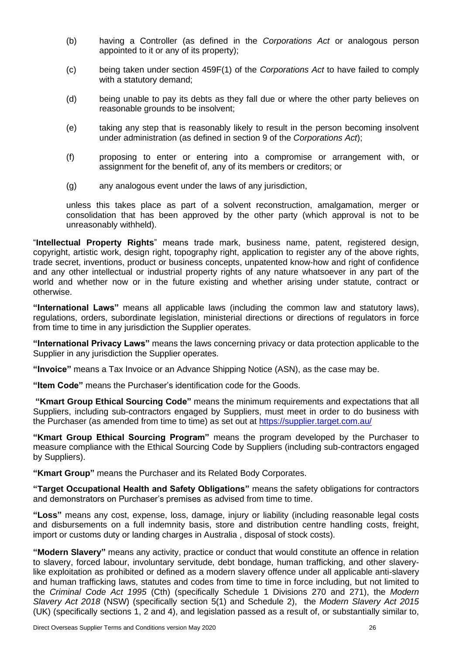- (b) having a Controller (as defined in the *Corporations Act* or analogous person appointed to it or any of its property);
- (c) being taken under section 459F(1) of the *Corporations Act* to have failed to comply with a statutory demand;
- (d) being unable to pay its debts as they fall due or where the other party believes on reasonable grounds to be insolvent;
- (e) taking any step that is reasonably likely to result in the person becoming insolvent under administration (as defined in section 9 of the *Corporations Act*);
- (f) proposing to enter or entering into a compromise or arrangement with, or assignment for the benefit of, any of its members or creditors; or
- (g) any analogous event under the laws of any jurisdiction,

unless this takes place as part of a solvent reconstruction, amalgamation, merger or consolidation that has been approved by the other party (which approval is not to be unreasonably withheld).

"**Intellectual Property Rights**" means trade mark, business name, patent, registered design, copyright, artistic work, design right, topography right, application to register any of the above rights, trade secret, inventions, product or business concepts, unpatented know-how and right of confidence and any other intellectual or industrial property rights of any nature whatsoever in any part of the world and whether now or in the future existing and whether arising under statute, contract or otherwise.

**"International Laws"** means all applicable laws (including the common law and statutory laws), regulations, orders, subordinate legislation, ministerial directions or directions of regulators in force from time to time in any jurisdiction the Supplier operates.

**"International Privacy Laws"** means the laws concerning privacy or data protection applicable to the Supplier in any jurisdiction the Supplier operates.

**"Invoice"** means a Tax Invoice or an Advance Shipping Notice (ASN), as the case may be.

**"Item Code"** means the Purchaser's identification code for the Goods.

**"Kmart Group Ethical Sourcing Code"** means the minimum requirements and expectations that all Suppliers, including sub-contractors engaged by Suppliers, must meet in order to do business with the Purchaser (as amended from time to time) as set out at<https://supplier.target.com.au/>

**"Kmart Group Ethical Sourcing Program"** means the program developed by the Purchaser to measure compliance with the Ethical Sourcing Code by Suppliers (including sub-contractors engaged by Suppliers).

**"Kmart Group"** means the Purchaser and its Related Body Corporates.

**"Target Occupational Health and Safety Obligations"** means the safety obligations for contractors and demonstrators on Purchaser's premises as advised from time to time.

**"Loss"** means any cost, expense, loss, damage, injury or liability (including reasonable legal costs and disbursements on a full indemnity basis, store and distribution centre handling costs, freight, import or customs duty or landing charges in Australia , disposal of stock costs).

**"Modern Slavery"** means any activity, practice or conduct that would constitute an offence in relation to slavery, forced labour, involuntary servitude, debt bondage, human trafficking, and other slaverylike exploitation as prohibited or defined as a modern slavery offence under all applicable anti-slavery and human trafficking laws, statutes and codes from time to time in force including, but not limited to the *Criminal Code Act 1995* (Cth) (specifically Schedule 1 Divisions 270 and 271), the *Modern Slavery Act 2018* (NSW) (specifically section 5(1) and Schedule 2), the *Modern Slavery Act 2015*  (UK) (specifically sections 1, 2 and 4), and legislation passed as a result of, or substantially similar to,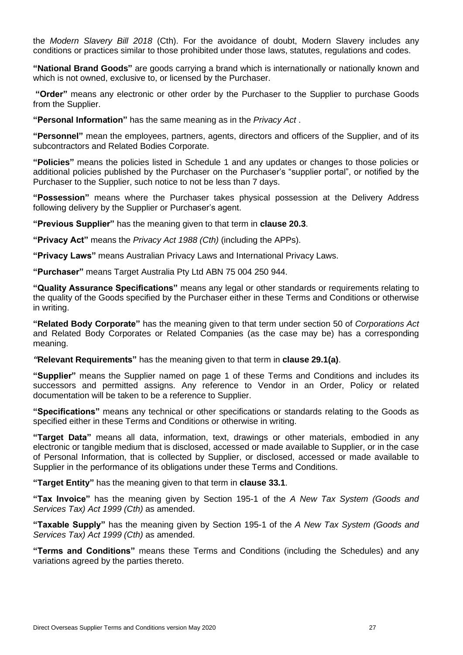the *Modern Slavery Bill 2018* (Cth). For the avoidance of doubt, Modern Slavery includes any conditions or practices similar to those prohibited under those laws, statutes, regulations and codes.

**"National Brand Goods"** are goods carrying a brand which is internationally or nationally known and which is not owned, exclusive to, or licensed by the Purchaser.

**"Order"** means any electronic or other order by the Purchaser to the Supplier to purchase Goods from the Supplier.

**"Personal Information"** has the same meaning as in the *Privacy Act* .

**"Personnel"** mean the employees, partners, agents, directors and officers of the Supplier, and of its subcontractors and Related Bodies Corporate.

**"Policies"** means the policies listed in Schedule 1 and any updates or changes to those policies or additional policies published by the Purchaser on the Purchaser's "supplier portal", or notified by the Purchaser to the Supplier, such notice to not be less than 7 days.

**"Possession"** means where the Purchaser takes physical possession at the Delivery Address following delivery by the Supplier or Purchaser's agent.

**"Previous Supplier"** has the meaning given to that term in **clause [20.3](#page-13-1)**.

**"Privacy Act"** means the *Privacy Act 1988 (Cth)* (including the APPs).

**"Privacy Laws"** means Australian Privacy Laws and International Privacy Laws.

**"Purchaser"** means Target Australia Pty Ltd ABN 75 004 250 944.

**"Quality Assurance Specifications"** means any legal or other standards or requirements relating to the quality of the Goods specified by the Purchaser either in these Terms and Conditions or otherwise in writing.

**"Related Body Corporate"** has the meaning given to that term under section 50 of *Corporations Act* and Related Body Corporates or Related Companies (as the case may be) has a corresponding meaning.

*"***Relevant Requirements"** has the meaning given to that term in **clause [29.1\(a\)](#page-19-0)**.

**"Supplier"** means the Supplier named on page 1 of these Terms and Conditions and includes its successors and permitted assigns. Any reference to Vendor in an Order, Policy or related documentation will be taken to be a reference to Supplier.

**"Specifications"** means any technical or other specifications or standards relating to the Goods as specified either in these Terms and Conditions or otherwise in writing.

**"Target Data"** means all data, information, text, drawings or other materials, embodied in any electronic or tangible medium that is disclosed, accessed or made available to Supplier, or in the case of Personal Information, that is collected by Supplier, or disclosed, accessed or made available to Supplier in the performance of its obligations under these Terms and Conditions.

**"Target Entity"** has the meaning given to that term in **clause [33.1](#page-20-0)**.

**"Tax Invoice"** has the meaning given by Section 195-1 of the *A New Tax System (Goods and Services Tax) Act 1999 (Cth)* as amended.

**"Taxable Supply"** has the meaning given by Section 195-1 of the *A New Tax System (Goods and Services Tax) Act 1999 (Cth)* as amended.

**"Terms and Conditions"** means these Terms and Conditions (including the Schedules) and any variations agreed by the parties thereto.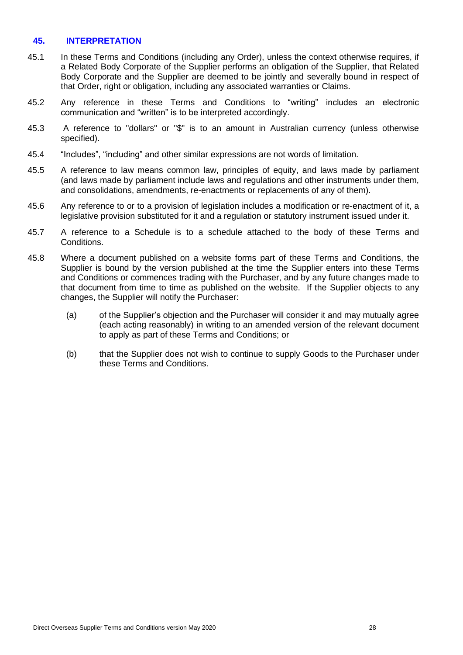### **45. INTERPRETATION**

- 45.1 In these Terms and Conditions (including any Order), unless the context otherwise requires, if a Related Body Corporate of the Supplier performs an obligation of the Supplier, that Related Body Corporate and the Supplier are deemed to be jointly and severally bound in respect of that Order, right or obligation, including any associated warranties or Claims.
- 45.2 Any reference in these Terms and Conditions to "writing" includes an electronic communication and "written" is to be interpreted accordingly.
- 45.3 A reference to "dollars" or "\$" is to an amount in Australian currency (unless otherwise specified).
- 45.4 "Includes", "including" and other similar expressions are not words of limitation.
- 45.5 A reference to law means common law, principles of equity, and laws made by parliament (and laws made by parliament include laws and regulations and other instruments under them, and consolidations, amendments, re-enactments or replacements of any of them).
- 45.6 Any reference to or to a provision of legislation includes a modification or re-enactment of it, a legislative provision substituted for it and a regulation or statutory instrument issued under it.
- 45.7 A reference to a Schedule is to a schedule attached to the body of these Terms and Conditions.
- 45.8 Where a document published on a website forms part of these Terms and Conditions, the Supplier is bound by the version published at the time the Supplier enters into these Terms and Conditions or commences trading with the Purchaser, and by any future changes made to that document from time to time as published on the website. If the Supplier objects to any changes, the Supplier will notify the Purchaser:
	- (a) of the Supplier's objection and the Purchaser will consider it and may mutually agree (each acting reasonably) in writing to an amended version of the relevant document to apply as part of these Terms and Conditions; or
	- (b) that the Supplier does not wish to continue to supply Goods to the Purchaser under these Terms and Conditions.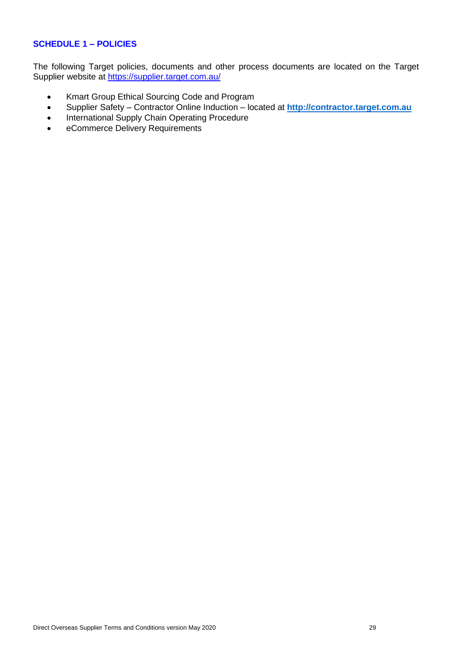### **SCHEDULE 1 – POLICIES**

The following Target policies, documents and other process documents are located on the Target Supplier website at<https://supplier.target.com.au/>

- Kmart Group Ethical Sourcing Code and Program
- Supplier Safety Contractor Online Induction located at **[http://contractor.target.com.au](http://contractor.target.com.au/)**
- International Supply Chain Operating Procedure
- eCommerce Delivery Requirements